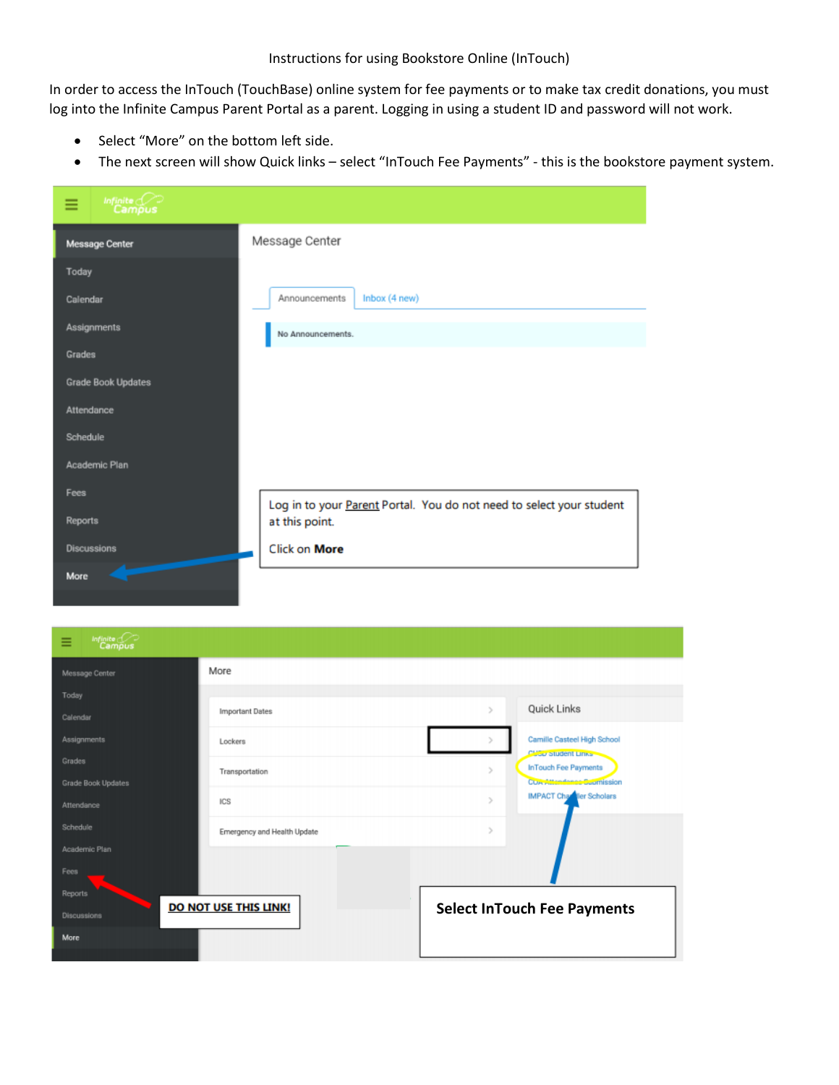Instructions for using Bookstore Online (InTouch)

In order to access the InTouch (TouchBase) online system for fee payments or to make tax credit donations, you must log into the Infinite Campus Parent Portal as a parent. Logging in using a student ID and password will not work.

- Select "More" on the bottom left side.
- The next screen will show Quick links select "InTouch Fee Payments" this is the bookstore payment system.

| Infinite<br>Campus<br>≡   |                                                                      |
|---------------------------|----------------------------------------------------------------------|
| Message Center            | Message Center                                                       |
| Today                     |                                                                      |
| Calendar                  | Inbox (4 new)<br>Announcements                                       |
| <b>Assignments</b>        | No Announcements.                                                    |
| Grades                    |                                                                      |
| <b>Grade Book Updates</b> |                                                                      |
| Attendance                |                                                                      |
| Schedule                  |                                                                      |
| Academic Plan             |                                                                      |
| Fees                      | Log in to your Parent Portal. You do not need to select your student |
| Reports                   | at this point.                                                       |
| <b>Discussions</b>        | Click on More                                                        |
| More                      |                                                                      |
|                           |                                                                      |

| Infinite Co<br>Ξ   |                              |                                                    |  |
|--------------------|------------------------------|----------------------------------------------------|--|
| Message Center     | More                         |                                                    |  |
| Today              |                              |                                                    |  |
| Calendar           | <b>Important Dates</b>       | Quick Links<br>$\mathbf{r}$                        |  |
| Assignments        | Lockers                      | Camille Casteel High School<br>Class student Links |  |
| Grades             |                              | <b>InTouch Fee Payments</b><br>x                   |  |
| Grade Book Updates | Transportation               | COA Attendance Supmission                          |  |
| Attendance         | ICS                          | <b>IMPACT Changer Scholars</b><br>$\rightarrow$    |  |
| Schedule           | Emergency and Health Update  | $\mathcal{P}$                                      |  |
| Academic Plan      |                              |                                                    |  |
| Fees               |                              |                                                    |  |
| Reports            |                              |                                                    |  |
| <b>Discussions</b> | <b>DO NOT USE THIS LINK!</b> | <b>Select InTouch Fee Payments</b>                 |  |
| More               |                              |                                                    |  |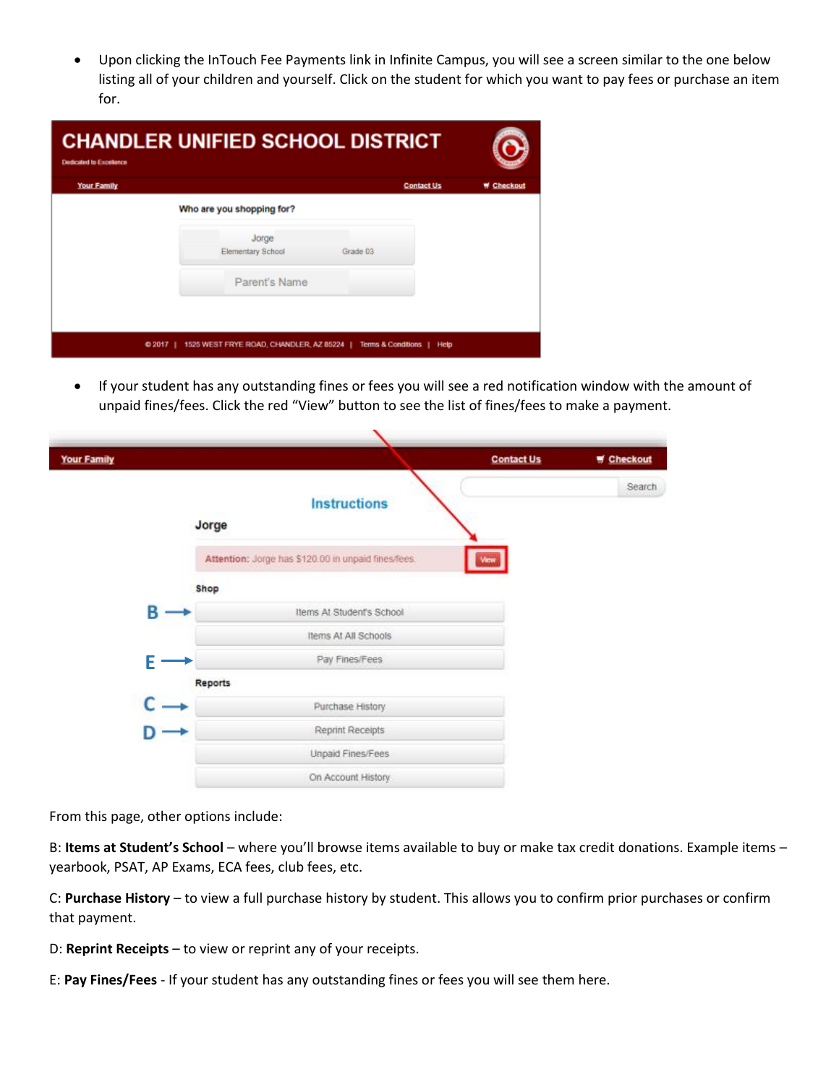Upon clicking the InTouch Fee Payments link in Infinite Campus, you will see a screen similar to the one below listing all of your children and yourself. Click on the student for which you want to pay fees or purchase an item for.

| <b>CHANDLER UNIFIED SCHOOL DISTRICT</b><br><b>Dedicated to Excellence</b>               |                                               |                   |          |  |
|-----------------------------------------------------------------------------------------|-----------------------------------------------|-------------------|----------|--|
| Your Family                                                                             |                                               | <b>Contact Us</b> | Checkout |  |
|                                                                                         | Who are you shopping for?                     |                   |          |  |
|                                                                                         | Jorge<br><b>Elementary School</b><br>Grade 03 |                   |          |  |
|                                                                                         | Parent's Name                                 |                   |          |  |
|                                                                                         |                                               |                   |          |  |
| 1525 WEST FRYE ROAD, CHANDLER, AZ 85224  <br>Terms & Conditions  <br>$0.2017$  <br>Help |                                               |                   |          |  |

 If your student has any outstanding fines or fees you will see a red notification window with the amount of unpaid fines/fees. Click the red "View" button to see the list of fines/fees to make a payment.

 $\overline{\phantom{a}}$ 

| <b>Your Family</b> |         |                                                     | <b>Contact Us</b> | Checkout |
|--------------------|---------|-----------------------------------------------------|-------------------|----------|
|                    | Jorge   | <b>Instructions</b>                                 |                   | Search   |
|                    |         | Attention: Jorge has \$120.00 in unpaid fines/fees. | View              |          |
|                    | Shop    |                                                     |                   |          |
|                    | В       | Items At Student's School                           |                   |          |
|                    |         | Items At All Schools                                |                   |          |
|                    | E       | Pay Fines/Fees                                      |                   |          |
|                    | Reports |                                                     |                   |          |
|                    |         | Purchase History                                    |                   |          |
|                    |         | Reprint Receipts                                    |                   |          |
|                    |         | Unpaid Fines/Fees                                   |                   |          |
|                    |         | On Account History                                  |                   |          |

From this page, other options include:

B: **Items at Student's School** – where you'll browse items available to buy or make tax credit donations. Example items – yearbook, PSAT, AP Exams, ECA fees, club fees, etc.

C: **Purchase History** – to view a full purchase history by student. This allows you to confirm prior purchases or confirm that payment.

D: **Reprint Receipts** – to view or reprint any of your receipts.

E: **Pay Fines/Fees** - If your student has any outstanding fines or fees you will see them here.